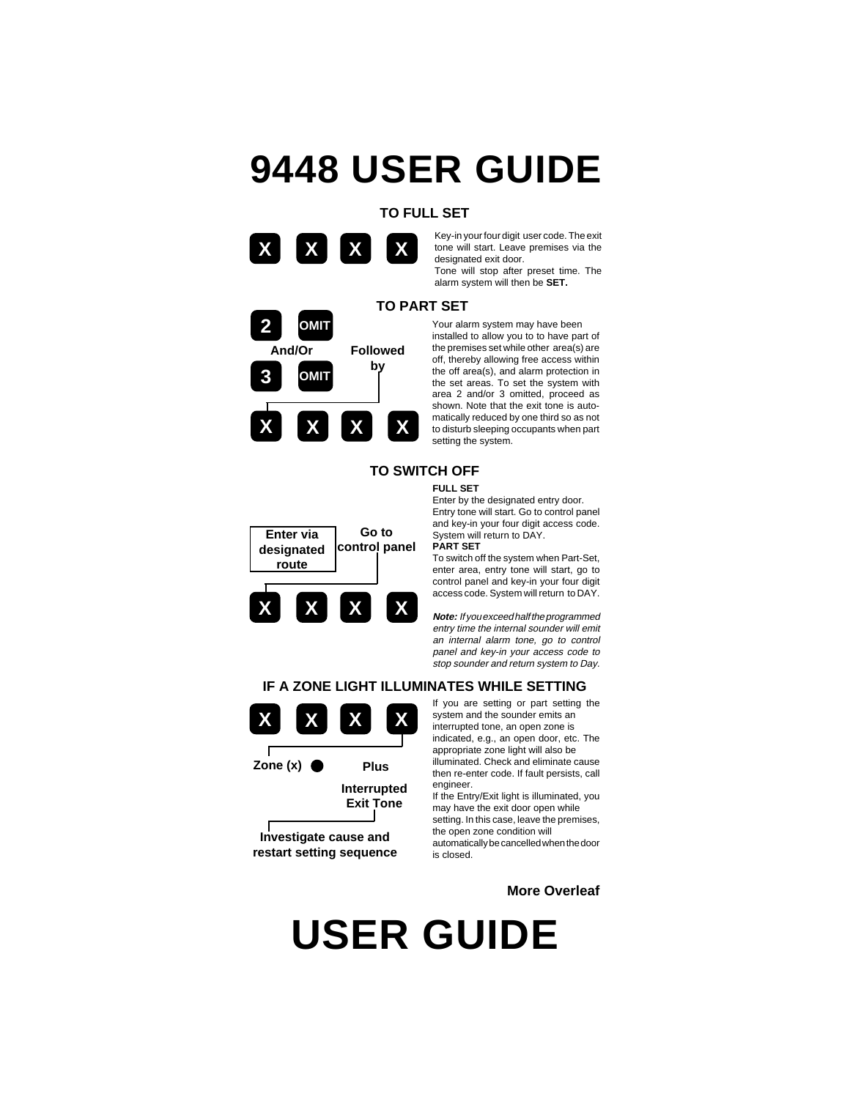# **9448 USER GUIDE**

### **TO FULL SET**



Key-in your four digit user code. The exit tone will start. Leave premises via the designated exit door. Tone will stop after preset time. The alarm system will then be **SET.**

**2 OMIT And/Or 3 OMIT X X X X Followed by**

#### **TO PART SET**

Your alarm system may have been installed to allow you to to have part of the premises set while other area(s) are off, thereby allowing free access within the off area(s), and alarm protection in the set areas. To set the system with area 2 and/or 3 omitted, proceed as shown. Note that the exit tone is automatically reduced by one third so as not to disturb sleeping occupants when part setting the system.

### **TO SWITCH OFF**

**FULL SET** Enter by the designated entry door.

**Go to control panel Enter via designated route** Entry tone will start. Go to control panel and key-in your four digit access code. System will return to DAY. **PART SET**



To switch off the system when Part-Set, enter area, entry tone will start, go to control panel and key-in your four digit access code. System will return to DAY. **Note:** If you exceed half the programmed

entry time the internal sounder will emit an internal alarm tone, go to control panel and key-in your access code to stop sounder and return system to Day.

## **IF A ZONE LIGHT ILLUMINATES WHILE SETTING**



**Zone (x) Plus**

**Interrupted Exit Tone**

**Investigate cause and restart setting sequence**

If you are setting or part setting the system and the sounder emits an interrupted tone, an open zone is indicated, e.g., an open door, etc. The appropriate zone light will also be illuminated. Check and eliminate cause then re-enter code. If fault persists, call engineer.

If the Entry/Exit light is illuminated, you may have the exit door open while setting. In this case, leave the premises, the open zone condition will automatically be cancelled when the door is closed.

**More Overleaf**

## **USER GUIDE**